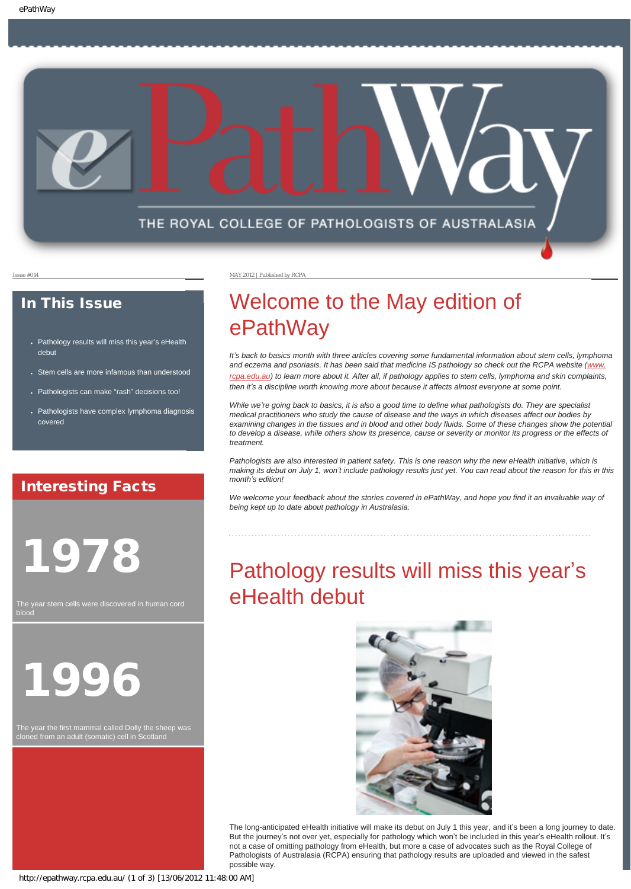

### In This Issue

- [Pathology results will miss this year](#page-0-0)'s eHealth [debut](#page-0-0)
- [Stem cells are more infamous than understood](#page-1-0)
- [Pathologists can make](#page-1-1) "rash" decisions too!
- Pathologists have complex lymphoma diagnosis [covered](#page-1-2)

### Interesting Facts

<span id="page-0-0"></span>1978

The year stem cells were discovered in human cord blood

1996

The year the first mammal called Dolly the sheep was cloned from an adult (somatic) cell in Scotland

Issue #014 MAY 2012 | Published by RCPA

# Welcome to the May edition of ePathWay

*It*<sup>'</sup>s back to basics month with three articles covering some fundamental information about stem cells, lymphoma *and eczema and psoriasis. It has been said that medicine IS pathology so check out the RCPA website ([www.](http://www.rcpa.edu.au/) [rcpa.edu.au](http://www.rcpa.edu.au/)) to learn more about it. After all, if pathology applies to stem cells, lymphoma and skin complaints, then it's a discipline worth knowing more about because it affects almost everyone at some point.* 

*While we're going back to basics, it is also a good time to define what pathologists do. They are specialist medical practitioners who study the cause of disease and the ways in which diseases affect our bodies by examining changes in the tissues and in blood and other body fluids. Some of these changes show the potential*  to develop a disease, while others show its presence, cause or severity or monitor its progress or the effects of *treatment.*

*Pathologists are also interested in patient safety. This is one reason why the new eHealth initiative, which is making its debut on July 1, won't include pathology results just yet. You can read about the reason for this in this month's edition!*

*We welcome your feedback about the stories covered in ePathWay, and hope you find it an invaluable way of being kept up to date about pathology in Australasia.*

# Pathology results will miss this year's eHealth debut



The long-anticipated eHealth initiative will make its debut on July 1 this year, and it's been a long journey to date. But the journey's not over yet, especially for pathology which won't be included in this year's eHealth rollout. It's not a case of omitting pathology from eHealth, but more a case of advocates such as the Royal College of Pathologists of Australasia (RCPA) ensuring that pathology results are uploaded and viewed in the safest possible way.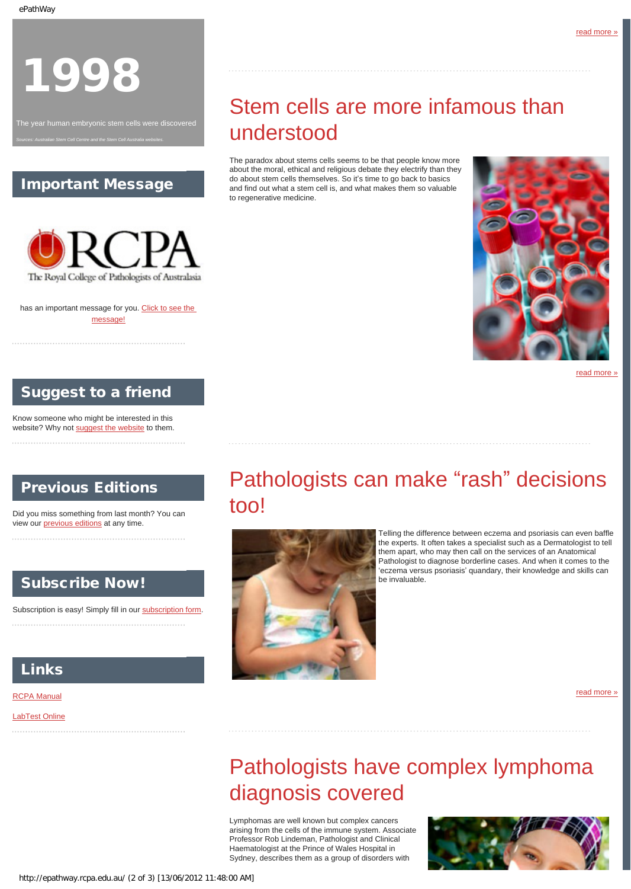# 1998

<span id="page-1-0"></span>

### Important Message

*Sources: Australian Stem Cell Centre and the Stem Cell Australia websites.*



has an important message for you. [Click to see the](http://epathway.rcpa.edu.au/notice.html) [message!](http://epathway.rcpa.edu.au/notice.html)

### Suggest to a friend

Know someone who might be interested in this website? Why not [suggest the website](mailto:?Subject=I%20think%20you%20should%20read%20this%20Newsletter=
http://epathway.rcpa.edu.au/index.html) to them.

### <span id="page-1-1"></span>Previous Editions

Did you miss something from last month? You can view our [previous editions](http://epathway.rcpa.edu.au/previous.html) at any time.

### Subscribe Now!

Subscription is easy! Simply fill in our [subscription form.](http://epathway.rcpa.edu.au/subscription.html)

### Links

#### [RCPA Manual](http://rcpamanual.edu.au/)

<span id="page-1-2"></span>[LabTest Online](http://www.labtestsonline.org.au/)

# Stem cells are more infamous than understood

The paradox about stems cells seems to be that people know more about the moral, ethical and religious debate they electrify than they do about stem cells themselves. So it's time to go back to basics and find out what a stem cell is, and what makes them so valuable to regenerative medicine.



[read more »](#page-5-0)

# Pathologists can make "rash" decisions too!



Telling the difference between eczema and psoriasis can even baffle the experts. It often takes a specialist such as a Dermatologist to tell them apart, who may then call on the services of an Anatomical Pathologist to diagnose borderline cases. And when it comes to the 'eczema versus psoriasis' quandary, their knowledge and skills can be invaluable.

[read more »](#page-7-0)

# Pathologists have complex lymphoma diagnosis covered

Lymphomas are well known but complex cancers arising from the cells of the immune system. Associate Professor Rob Lindeman, Pathologist and Clinical Haematologist at the Prince of Wales Hospital in Sydney, describes them as a group of disorders with

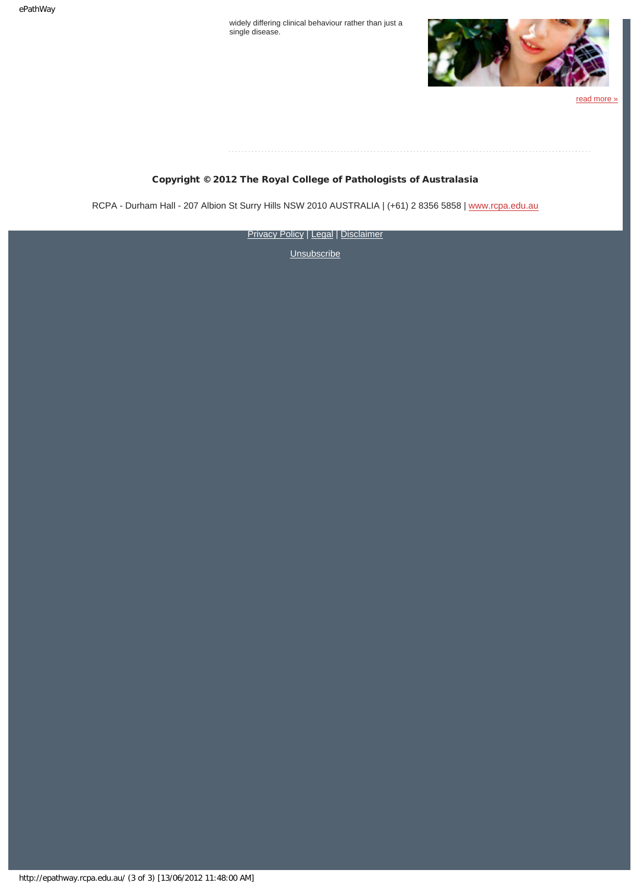widely differing clinical behaviour rather than just a single disease.



[read more »](#page-9-0)

#### Copyright © 2012 The Royal College of Pathologists of Australasia

RCPA - Durham Hall - 207 Albion St Surry Hills NSW 2010 AUSTRALIA | (+61) 2 8356 5858 | [www.rcpa.edu.au](http://www.rcpa.edu.au/)

**[Privacy Policy](http://www.rcpa.edu.au/Privacy.htm) | [Legal](http://www.rcpa.edu.au/Legal.htm) | [Disclaimer](http://www.rcpa.edu.au/Disclaimer.htm)**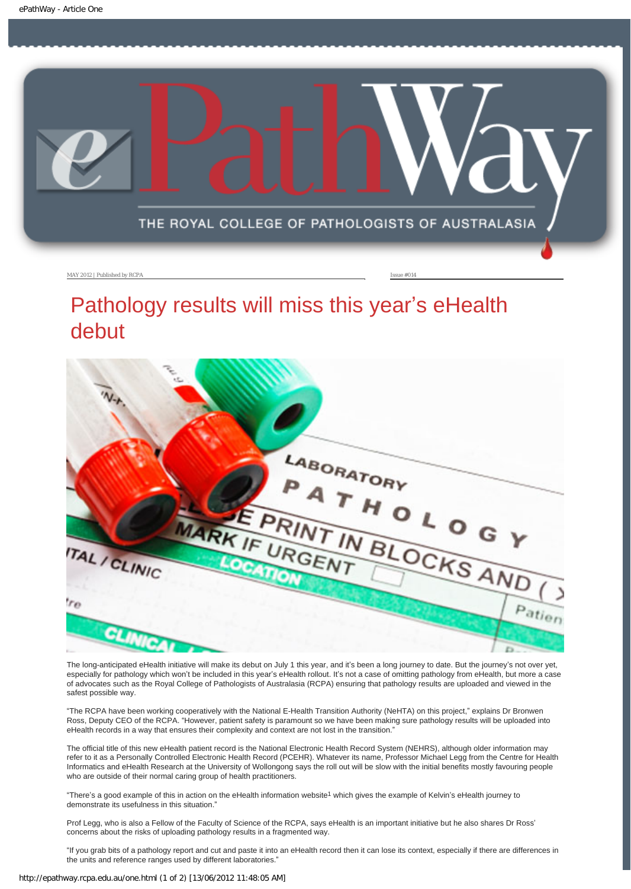<span id="page-3-0"></span>

#### MAY 2012 | Published by RCPA Issue #014

### Pathology results will miss this year's eHealth debut



The long-anticipated eHealth initiative will make its debut on July 1 this year, and it's been a long journey to date. But the journey's not over yet, especially for pathology which won't be included in this year's eHealth rollout. It's not a case of omitting pathology from eHealth, but more a case of advocates such as the Royal College of Pathologists of Australasia (RCPA) ensuring that pathology results are uploaded and viewed in the safest possible way.

"The RCPA have been working cooperatively with the National E-Health Transition Authority (NeHTA) on this project," explains Dr Bronwen Ross, Deputy CEO of the RCPA. "However, patient safety is paramount so we have been making sure pathology results will be uploaded into eHealth records in a way that ensures their complexity and context are not lost in the transition.'

The official title of this new eHealth patient record is the National Electronic Health Record System (NEHRS), although older information may refer to it as a Personally Controlled Electronic Health Record (PCEHR). Whatever its name, Professor Michael Legg from the Centre for Health Informatics and eHealth Research at the University of Wollongong says the roll out will be slow with the initial benefits mostly favouring people who are outside of their normal caring group of health practitioners.

"There's a good example of this in action on the eHealth information website1 which gives the example of Kelvin's eHealth journey to demonstrate its usefulness in this situation."

Prof Legg, who is also a Fellow of the Faculty of Science of the RCPA, says eHealth is an important initiative but he also shares Dr Ross' concerns about the risks of uploading pathology results in a fragmented way.

"If you grab bits of a pathology report and cut and paste it into an eHealth record then it can lose its context, especially if there are differences in the units and reference ranges used by different laboratories."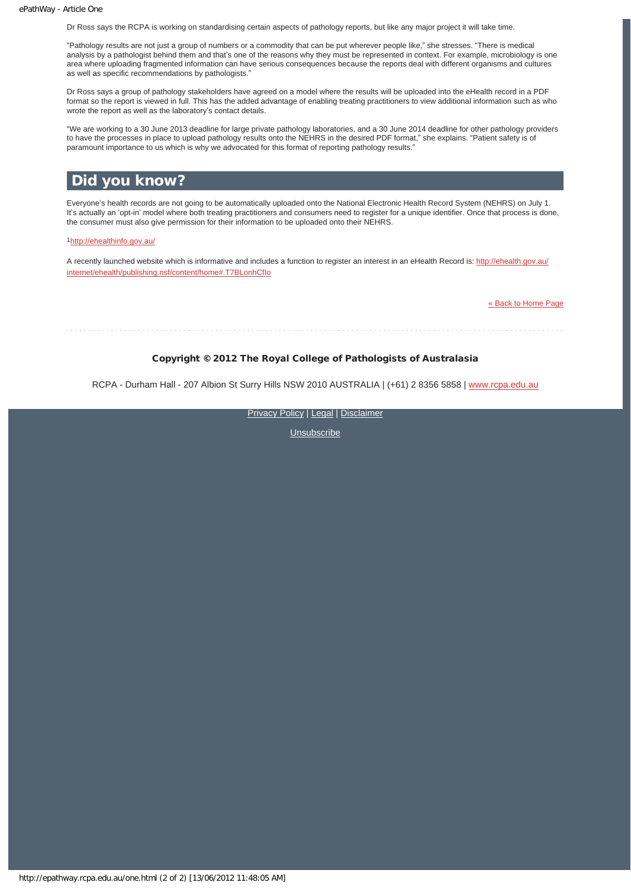Dr Ross says the RCPA is working on standardising certain aspects of pathology reports, but like any major project it will take time.

"Pathology results are not just a group of numbers or a commodity that can be put wherever people like," she stresses. "There is medical analysis by a pathologist behind them and that's one of the reasons why they must be represented in context. For example, microbiology is one area where uploading fragmented information can have serious consequences because the reports deal with different organisms and cultures as well as specific recommendations by pathologists."

Dr Ross says a group of pathology stakeholders have agreed on a model where the results will be uploaded into the eHealth record in a PDF format so the report is viewed in full. This has the added advantage of enabling treating practitioners to view additional information such as who wrote the report as well as the laboratory's contact details.

"We are working to a 30 June 2013 deadline for large private pathology laboratories, and a 30 June 2014 deadline for other pathology providers to have the processes in place to upload pathology results onto the NEHRS in the desired PDF format," she explains. "Patient safety is of paramount importance to us which is why we advocated for this format of reporting pathology results."

#### Did you know?

Everyone's health records are not going to be automatically uploaded onto the National Electronic Health Record System (NEHRS) on July 1. It's actually an 'opt-in' model where both treating practitioners and consumers need to register for a unique identifier. Once that process is done, the consumer must also give permission for their information to be uploaded onto their NEHRS.

1<http://ehealthinfo.gov.au/>

A recently launched website which is informative and includes a function to register an interest in an eHealth Record is: [http://ehealth.gov.au/](http://ehealth.gov.au/internet/ehealth/publishing.nsf/content/home#.T7BLonhCfIo) [internet/ehealth/publishing.nsf/content/home#.T7BLonhCfIo](http://ehealth.gov.au/internet/ehealth/publishing.nsf/content/home#.T7BLonhCfIo)

[« Back to Home Page](http://epathway.rcpa.edu.au/index.html)

#### Copyright © 2012 The Royal College of Pathologists of Australasia

RCPA - Durham Hall - 207 Albion St Surry Hills NSW 2010 AUSTRALIA | (+61) 2 8356 5858 | [www.rcpa.edu.au](http://www.rcpa.edu.au/)

[Privacy Policy](http://www.rcpa.edu.au/Privacy.htm) | [Legal](http://www.rcpa.edu.au/Legal.htm) | [Disclaimer](http://www.rcpa.edu.au/Disclaimer.htm)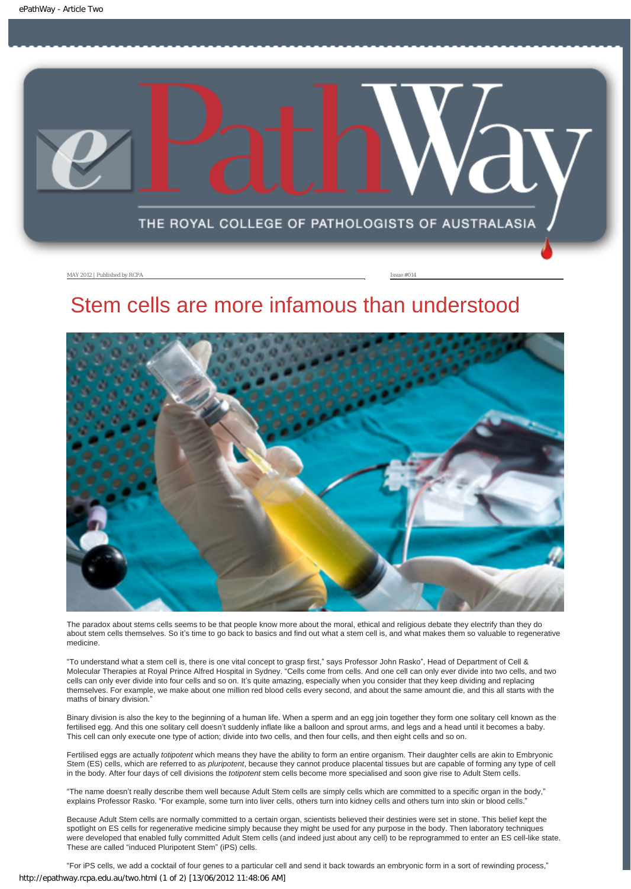<span id="page-5-0"></span>

MAY 2012 | Published by RCPA **Issue #014** 

### Stem cells are more infamous than understood



The paradox about stems cells seems to be that people know more about the moral, ethical and religious debate they electrify than they do about stem cells themselves. So it's time to go back to basics and find out what a stem cell is, and what makes them so valuable to regenerative medicine.

"To understand what a stem cell is, there is one vital concept to grasp first," says Professor John Rasko\*, Head of Department of Cell & Molecular Therapies at Royal Prince Alfred Hospital in Sydney. "Cells come from cells. And one cell can only ever divide into two cells, and two cells can only ever divide into four cells and so on. It's quite amazing, especially when you consider that they keep dividing and replacing themselves. For example, we make about one million red blood cells every second, and about the same amount die, and this all starts with the maths of binary division."

Binary division is also the key to the beginning of a human life. When a sperm and an egg join together they form one solitary cell known as the fertilised egg. And this one solitary cell doesn't suddenly inflate like a balloon and sprout arms, and legs and a head until it becomes a baby. This cell can only execute one type of action; divide into two cells, and then four cells, and then eight cells and so on.

Fertilised eggs are actually *totipotent* which means they have the ability to form an entire organism. Their daughter cells are akin to Embryonic Stem (ES) cells, which are referred to as *pluripotent*, because they cannot produce placental tissues but are capable of forming any type of cell in the body. After four days of cell divisions the *totipotent* stem cells become more specialised and soon give rise to Adult Stem cells.

"The name doesn't really describe them well because Adult Stem cells are simply cells which are committed to a specific organ in the body," explains Professor Rasko. "For example, some turn into liver cells, others turn into kidney cells and others turn into skin or blood cells."

Because Adult Stem cells are normally committed to a certain organ, scientists believed their destinies were set in stone. This belief kept the spotlight on ES cells for regenerative medicine simply because they might be used for any purpose in the body. Then laboratory techniques were developed that enabled fully committed Adult Stem cells (and indeed just about any cell) to be reprogrammed to enter an ES cell-like state. These are called "induced Pluripotent Stem" (iPS) cells.

"For iPS cells, we add a cocktail of four genes to a particular cell and send it back towards an embryonic form in a sort of rewinding process," http://epathway.rcpa.edu.au/two.html (1 of 2) [13/06/2012 11:48:06 AM]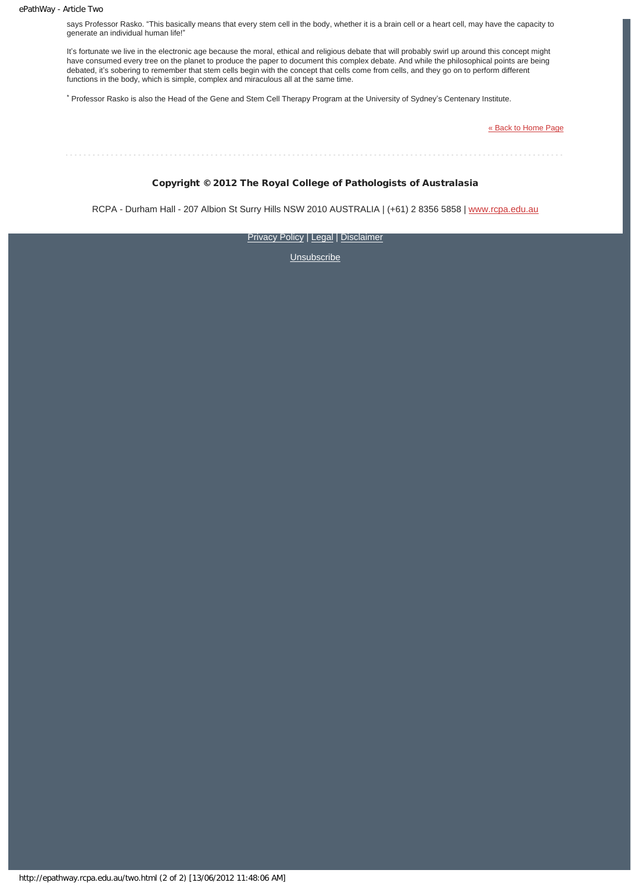says Professor Rasko. "This basically means that every stem cell in the body, whether it is a brain cell or a heart cell, may have the capacity to generate an individual human life!"

It's fortunate we live in the electronic age because the moral, ethical and religious debate that will probably swirl up around this concept might have consumed every tree on the planet to produce the paper to document this complex debate. And while the philosophical points are being debated, it's sobering to remember that stem cells begin with the concept that cells come from cells, and they go on to perform different functions in the body, which is simple, complex and miraculous all at the same time.

\* Professor Rasko is also the Head of the Gene and Stem Cell Therapy Program at the University of Sydney's Centenary Institute.

[« Back to Home Page](http://epathway.rcpa.edu.au/index.html)

Copyright © 2012 The Royal College of Pathologists of Australasia

RCPA - Durham Hall - 207 Albion St Surry Hills NSW 2010 AUSTRALIA | (+61) 2 8356 5858 | [www.rcpa.edu.au](http://www.rcpa.edu.au/)

**[Privacy Policy](http://www.rcpa.edu.au/Privacy.htm) | [Legal](http://www.rcpa.edu.au/Legal.htm) | [Disclaimer](http://www.rcpa.edu.au/Disclaimer.htm)**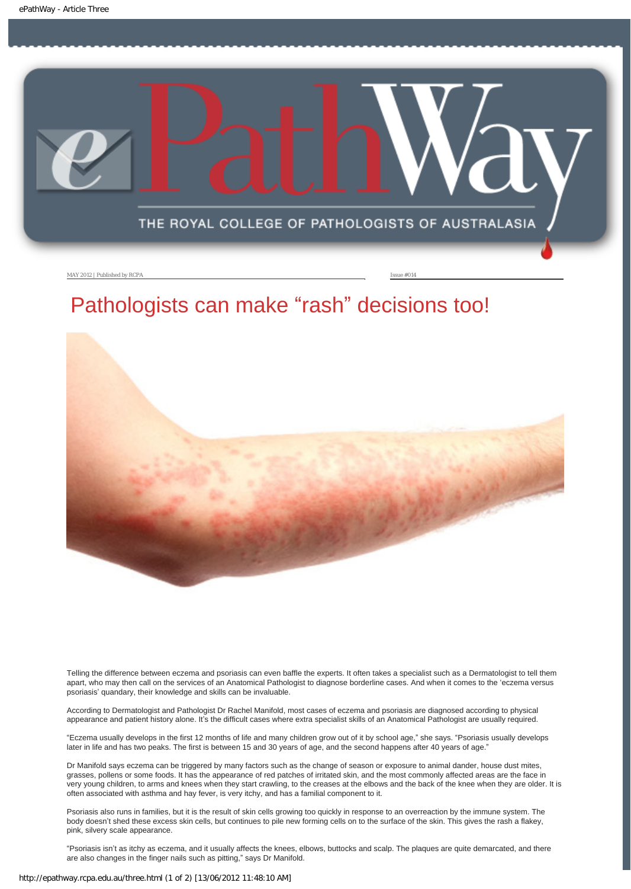<span id="page-7-0"></span>

MAY 2012 | Published by RCPA Issue #014

# Pathologists can make "rash" decisions too!



Telling the difference between eczema and psoriasis can even baffle the experts. It often takes a specialist such as a Dermatologist to tell them apart, who may then call on the services of an Anatomical Pathologist to diagnose borderline cases. And when it comes to the 'eczema versus psoriasis' quandary, their knowledge and skills can be invaluable.

According to Dermatologist and Pathologist Dr Rachel Manifold, most cases of eczema and psoriasis are diagnosed according to physical appearance and patient history alone. It's the difficult cases where extra specialist skills of an Anatomical Pathologist are usually required.

"Eczema usually develops in the first 12 months of life and many children grow out of it by school age," she says. "Psoriasis usually develops later in life and has two peaks. The first is between 15 and 30 years of age, and the second happens after 40 years of age."

Dr Manifold says eczema can be triggered by many factors such as the change of season or exposure to animal dander, house dust mites, grasses, pollens or some foods. It has the appearance of red patches of irritated skin, and the most commonly affected areas are the face in very young children, to arms and knees when they start crawling, to the creases at the elbows and the back of the knee when they are older. It is often associated with asthma and hay fever, is very itchy, and has a familial component to it.

Psoriasis also runs in families, but it is the result of skin cells growing too quickly in response to an overreaction by the immune system. The body doesn't shed these excess skin cells, but continues to pile new forming cells on to the surface of the skin. This gives the rash a flakey, pink, silvery scale appearance.

"Psoriasis isn't as itchy as eczema, and it usually affects the knees, elbows, buttocks and scalp. The plaques are quite demarcated, and there are also changes in the finger nails such as pitting," says Dr Manifold.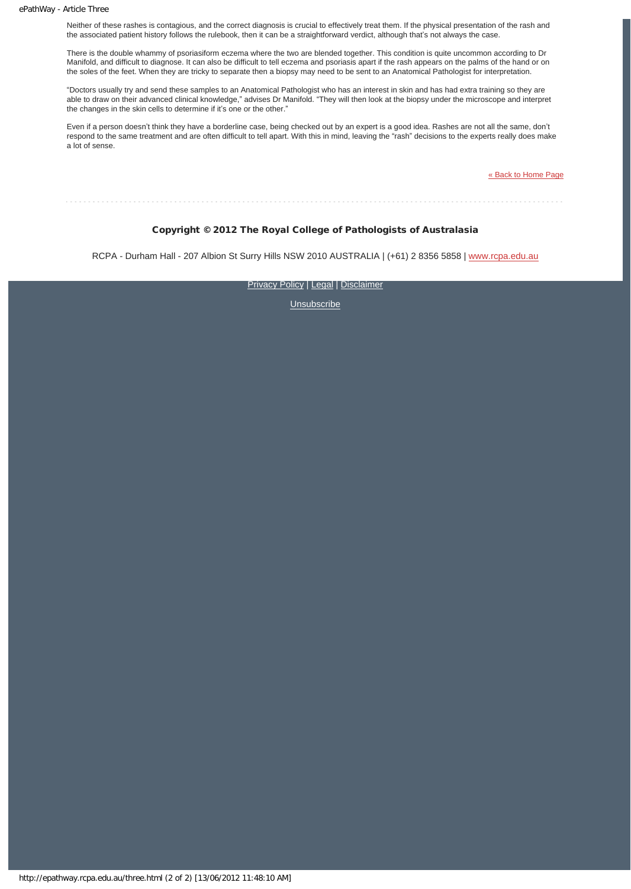Neither of these rashes is contagious, and the correct diagnosis is crucial to effectively treat them. If the physical presentation of the rash and the associated patient history follows the rulebook, then it can be a straightforward verdict, although that's not always the case.

There is the double whammy of psoriasiform eczema where the two are blended together. This condition is quite uncommon according to Dr Manifold, and difficult to diagnose. It can also be difficult to tell eczema and psoriasis apart if the rash appears on the palms of the hand or on the soles of the feet. When they are tricky to separate then a biopsy may need to be sent to an Anatomical Pathologist for interpretation.

"Doctors usually try and send these samples to an Anatomical Pathologist who has an interest in skin and has had extra training so they are able to draw on their advanced clinical knowledge," advises Dr Manifold. "They will then look at the biopsy under the microscope and interpret the changes in the skin cells to determine if it's one or the other."

Even if a person doesn't think they have a borderline case, being checked out by an expert is a good idea. Rashes are not all the same, don't respond to the same treatment and are often difficult to tell apart. With this in mind, leaving the "rash" decisions to the experts really does make a lot of sense.

[« Back to Home Page](http://epathway.rcpa.edu.au/index.html)

#### Copyright © 2012 The Royal College of Pathologists of Australasia

RCPA - Durham Hall - 207 Albion St Surry Hills NSW 2010 AUSTRALIA | (+61) 2 8356 5858 | [www.rcpa.edu.au](http://www.rcpa.edu.au/)

[Privacy Policy](http://www.rcpa.edu.au/Privacy.htm) | [Legal](http://www.rcpa.edu.au/Legal.htm) | [Disclaimer](http://www.rcpa.edu.au/Disclaimer.htm)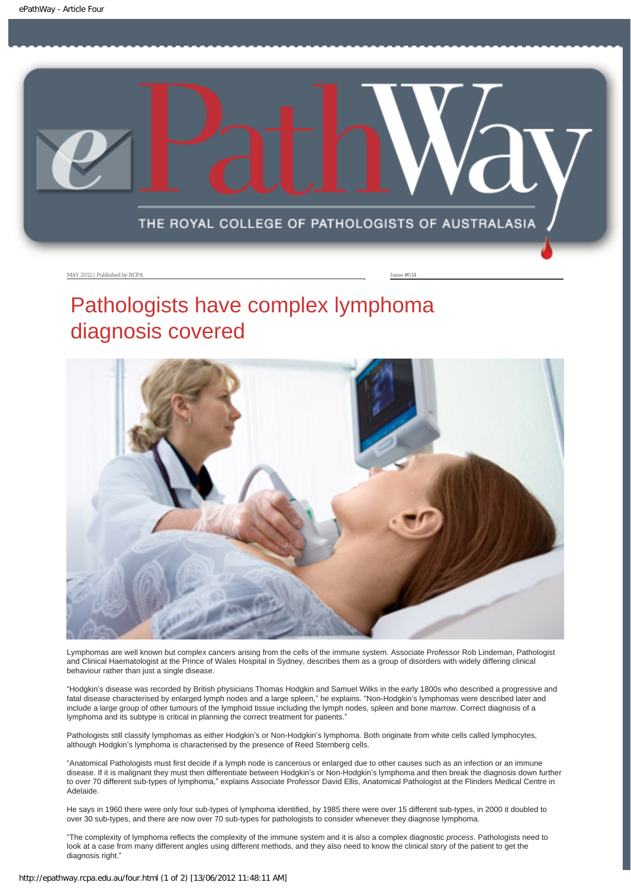<span id="page-9-0"></span>

#### MAY 2012 | Published by RCPA **Issue #014**

# Pathologists have complex lymphoma diagnosis covered



Lymphomas are well known but complex cancers arising from the cells of the immune system. Associate Professor Rob Lindeman, Pathologist and Clinical Haematologist at the Prince of Wales Hospital in Sydney, describes them as a group of disorders with widely differing clinical behaviour rather than just a single disease.

"Hodgkin's disease was recorded by British physicians Thomas Hodgkin and Samuel Wilks in the early 1800s who described a progressive and fatal disease characterised by enlarged lymph nodes and a large spleen," he explains. "Non-Hodgkin's lymphomas were described later and include a large group of other tumours of the lymphoid tissue including the lymph nodes, spleen and bone marrow. Correct diagnosis of a lymphoma and its subtype is critical in planning the correct treatment for patients."

Pathologists still classify lymphomas as either Hodgkin's or Non-Hodgkin's lymphoma. Both originate from white cells called lymphocytes, although Hodgkin's lymphoma is characterised by the presence of Reed Sternberg cells.

"Anatomical Pathologists must first decide if a lymph node is cancerous or enlarged due to other causes such as an infection or an immune disease. If it is malignant they must then differentiate between Hodgkin's or Non-Hodgkin's lymphoma and then break the diagnosis down further to over 70 different sub-types of lymphoma," explains Associate Professor David Ellis, Anatomical Pathologist at the Flinders Medical Centre in Adelaide.

He says in 1960 there were only four sub-types of lymphoma identified, by 1985 there were over 15 different sub-types, in 2000 it doubled to over 30 sub-types, and there are now over 70 sub-types for pathologists to consider whenever they diagnose lymphoma.

"The complexity of lymphoma reflects the complexity of the immune system and it is also a complex diagnostic *process*. Pathologists need to look at a case from many different angles using different methods, and they also need to know the clinical story of the patient to get the diagnosis right."